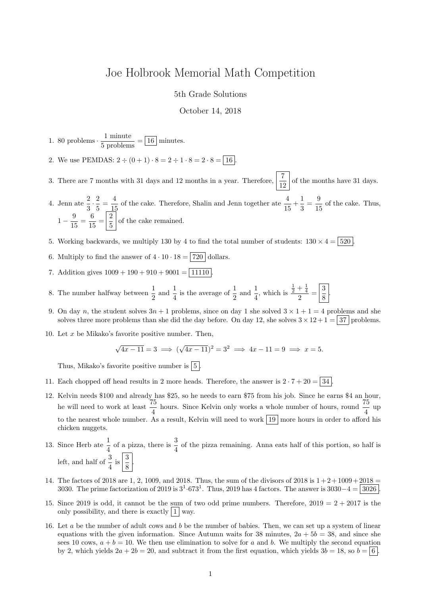## Joe Holbrook Memorial Math Competition

5th Grade Solutions

October 14, 2018

1. 80 problems  $\cdot \frac{1 \text{ minute}}{5 \text{ problems}} = \boxed{16}$  minutes.

- 2. We use PEMDAS:  $2 \div (0 + 1) \cdot 8 = 2 \div 1 \cdot 8 = 2 \cdot 8 = 16$
- 3. There are 7 months with 31 days and 12 months in a year. Therefore,  $\frac{7}{12}$  of the months have 31 days.
- 4. Jenn ate  $\frac{2}{3} \cdot \frac{2}{5}$  $\frac{2}{5} = \frac{4}{15}$  $\frac{4}{15}$  of the cake. Therefore, Shalin and Jenn together ate  $\frac{4}{15} + \frac{1}{3}$  $\frac{1}{3} = \frac{9}{15}$  $\frac{6}{15}$  of the cake. Thus,  $1-\frac{9}{11}$  $\frac{9}{15} = \frac{6}{15}$  $\frac{6}{15} = \frac{2}{5}$  $\frac{2}{5}$  of the cake remained.
- 5. Working backwards, we multiply 130 by 4 to find the total number of students:  $130 \times 4 = |520|$
- 6. Multiply to find the answer of  $4 \cdot 10 \cdot 18 = 720$  dollars.
- 7. Addition gives  $1009 + 190 + 910 + 9001 = 11110$
- 8. The number halfway between  $\frac{1}{2}$  and  $\frac{1}{4}$  is the average of  $\frac{1}{2}$  and  $\frac{1}{4}$ , which is  $rac{1}{2} + \frac{1}{4}$  $\frac{+\frac{1}{4}}{2} = \frac{3}{8}$  $\frac{8}{8}$
- 9. On day n, the student solves  $3n + 1$  problems, since on day 1 she solved  $3 \times 1 + 1 = 4$  problems and she solves three more problems than she did the day before. On day 12, she solves  $3 \times 12 + 1 = 37$  problems.
- 10. Let  $x$  be Mikako's favorite positive number. Then,

$$
\sqrt{4x-11} = 3 \implies (\sqrt{4x-11})^2 = 3^2 \implies 4x - 11 = 9 \implies x = 5.
$$

Thus, Mikako's favorite positive number is  $\boxed{5}$ .

- 11. Each chopped off head results in 2 more heads. Therefore, the answer is  $2 \cdot 7 + 20 = 34$ .
- 12. Kelvin needs \$100 and already has \$25, so he needs to earn \$75 from his job. Since he earns \$4 an hour, he will need to work at least  $\frac{75}{4}$  hours. Since Kelvin only works a whole number of hours, round  $\frac{75}{4}$  up to the nearest whole number. As a result, Kelvin will need to work  $\boxed{19}$  more hours in order to afford his chicken nuggets.
- 13. Since Herb ate  $\frac{1}{4}$  of a pizza, there is  $\frac{3}{4}$  of the pizza remaining. Anna eats half of this portion, so half is left, and half of  $\frac{3}{4}$  is  $\left|\frac{3}{8}\right|$  $\frac{8}{8}$
- 14. The factors of 2018 are 1, 2, 1009, and 2018. Thus, the sum of the divisors of 2018 is  $1+2+1009+2018$ 3030. The prime factorization of 2019 is  $3^1.673^1$ . Thus, 2019 has 4 factors. The answer is  $3030-4 = 3026$ .
- 15. Since 2019 is odd, it cannot be the sum of two odd prime numbers. Therefore,  $2019 = 2 + 2017$  is the only possibility, and there is exactly  $|1|$  way.
- 16. Let a be the number of adult cows and b be the number of babies. Then, we can set up a system of linear equations with the given information. Since Autumn waits for 38 minutes,  $2a + 5b = 38$ , and since she sees 10 cows,  $a + b = 10$ . We then use elimination to solve for a and b. We multiply the second equation by 2, which yields  $2a + 2b = 20$ , and subtract it from the first equation, which yields  $3b = 18$ , so  $b = 6$ .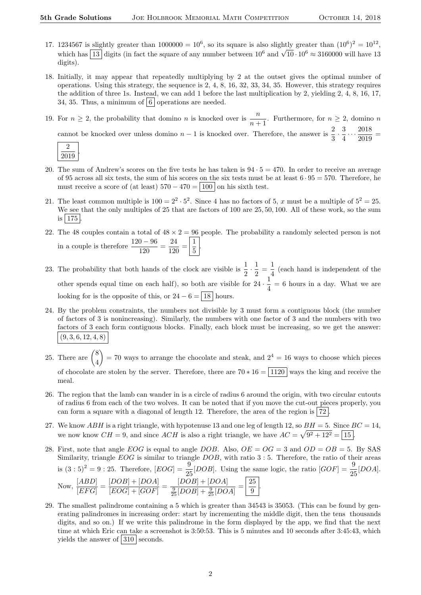2019

- 17. 1234567 is slightly greater than  $1000000 = 10^6$ , so its square is also slightly greater than  $(10^6)^2 = 10^{12}$ , which has  $\boxed{13}$  digits (in fact the square of any number between  $10^6$  and  $\sqrt{10} \cdot 10^6 \approx 3160000$  will have 13 digits).
- 18. Initially, it may appear that repeatedly multiplying by 2 at the outset gives the optimal number of operations. Using this strategy, the sequence is 2, 4, 8, 16, 32, 33, 34, 35. However, this strategy requires the addition of three 1s. Instead, we can add 1 before the last multiplication by 2, yielding 2, 4, 8, 16, 17, 34, 35. Thus, a minimum of  $\vert 6 \vert$  operations are needed.
- 19. For  $n \geq 2$ , the probability that domino n is knocked over is  $\frac{n}{n+1}$ . Furthermore, for  $n \geq 2$ , domino n cannot be knocked over unless domino  $n-1$  is knocked over. Therefore, the answer is  $\frac{2}{3} \cdot \frac{3}{4}$  $\frac{3}{4} \cdots \frac{2018}{2019}$  $\frac{2010}{2019}$  = 2 .
- 20. The sum of Andrew's scores on the five tests he has taken is  $94 \cdot 5 = 470$ . In order to receive an average of 95 across all six tests, the sum of his scores on the six tests must be at least  $6 \cdot 95 = 570$ . Therefore, he must receive a score of (at least)  $570 - 470 = |100|$  on his sixth test.
- 21. The least common multiple is  $100 = 2^2 \cdot 5^2$ . Since 4 has no factors of 5, x must be a multiple of  $5^2 = 25$ . We see that the only multiples of 25 that are factors of 100 are 25, 50, 100. All of these work, so the sum is  $|175|$
- 22. The 48 couples contain a total of  $48 \times 2 = 96$  people. The probability a randomly selected person is not in a couple is therefore  $\frac{120 - 96}{120} = \frac{24}{120}$  $\frac{24}{120} = \frac{1}{5}$  $\frac{1}{5}$
- 23. The probability that both hands of the clock are visible is  $\frac{1}{2} \cdot \frac{1}{2}$  $rac{1}{2} = \frac{1}{4}$  $\frac{1}{4}$  (each hand is independent of the other spends equal time on each half), so both are visible for  $24 \cdot \frac{1}{4}$  $\frac{1}{4}$  = 6 hours in a day. What we are looking for is the opposite of this, or  $24 - 6 = |18|$  hours.
- 24. By the problem constraints, the numbers not divisible by 3 must form a contiguous block (the number of factors of 3 is nonincreasing). Similarly, the numbers with one factor of 3 and the numbers with two factors of 3 each form contiguous blocks. Finally, each block must be increasing, so we get the answer:  $(9, 3, 6, 12, 4, 8)$
- 25. There are  $\binom{8}{4}$ 4  $= 70$  ways to arrange the chocolate and steak, and  $2<sup>4</sup> = 16$  ways to choose which pieces of chocolate are stolen by the server. Therefore, there are  $70 * 16 = 1120$  ways the king and receive the meal.
- 26. The region that the lamb can wander in is a circle of radius 6 around the origin, with two circular cutouts of radius 6 from each of the two wolves. It can be noted that if you move the cut-out pieces properly, you can form a square with a diagonal of length 12. Therefore, the area of the region is  $|72|$
- 27. We know  $ABH$  is a right triangle, with hypotenuse 13 and one leg of length 12, so  $BH = 5$ . Since  $BC = 14$ , we now know  $CH = 9$ , and since  $ACH$  is also a right triangle, we have  $AC = \sqrt{9^2 + 12^2} = \boxed{15}$ .
- 28. First, note that angle EOG is equal to angle DOB. Also,  $OE = OG = 3$  and  $OD = OB = 5$ . By SAS Similarity, triangle  $EOG$  is similar to triangle  $DOB$ , with ratio 3 : 5. Therefore, the ratio of their areas is  $(3:5)^2 = 9:25$ . Therefore,  $[EOG] = \frac{9}{25}[DOB]$ . Using the same logic, the ratio  $[GOF] = \frac{9}{25}[DOA]$ . Now,  $\frac{[ABD]}{[EFG]} = \frac{[DOB] + [DOA]}{[EOG] + [GOF]}$  $\frac{[DOB] + [DOA]}{[EOG] + [GOF]} = \frac{[DOB] + [DOA]}{\frac{9}{25}[DOB] + \frac{9}{25}[DO]}$  $\frac{[DOB] + [DOA]}{\frac{9}{25}[DOB] + \frac{9}{25}[DOA]} = \boxed{\frac{25}{9}}$  $\frac{1}{9}$ .
- 29. The smallest palindrome containing a 5 which is greater than 34543 is 35053. (This can be found by generating palindromes in increasing order: start by incrementing the middle digit, then the tens thousands digits, and so on.) If we write this palindrome in the form displayed by the app, we find that the next time at which Eric can take a screenshot is 3:50:53. This is 5 minutes and 10 seconds after 3:45:43, which yields the answer of  $\boxed{310}$  seconds.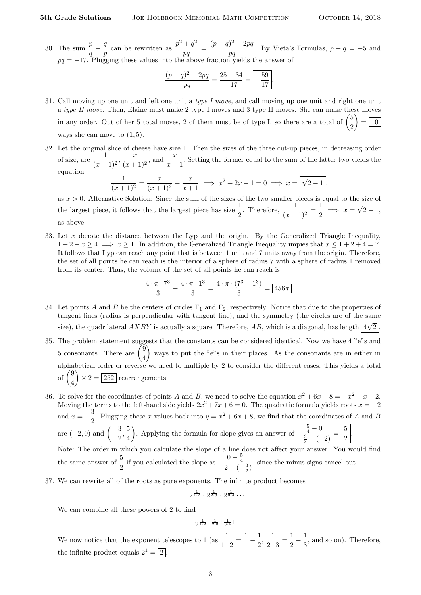30. The sum  $\frac{p}{q} + \frac{q}{p}$  $\frac{q}{p}$  can be rewritten as  $\frac{p^2+q^2}{pq}$  $\frac{+q^2}{pq} = \frac{(p+q)^2 - 2pq}{pq}$  $\frac{p}{pq}$ . By Vieta's Formulas,  $p + q = -5$  and  $pq = -17$ . Plugging these values into the above fraction yields the answer of

$$
\frac{(p+q)^2 - 2pq}{pq} = \frac{25 + 34}{-17} = \boxed{-\frac{59}{17}}.
$$

- 31. Call moving up one unit and left one unit a type I move, and call moving up one unit and right one unit a type II move. Then, Elaine must make 2 type I moves and 3 type II moves. She can make these moves in any order. Out of her 5 total moves, 2 of them must be of type I, so there are a total of  $\binom{5}{3}$ 2 L,  $=$  10 ways she can move to  $(1, 5)$ .
- 32. Let the original slice of cheese have size 1. Then the sizes of the three cut-up pieces, in decreasing order of size, are  $\frac{1}{(x+1)^2}$ ,  $\frac{x}{(x+1)^2}$  $\frac{x}{(x+1)^2}$ , and  $\frac{x}{x+1}$ . Setting the former equal to the sum of the latter two yields the equation √

$$
\frac{1}{(x+1)^2} = \frac{x}{(x+1)^2} + \frac{x}{x+1} \implies x^2 + 2x - 1 = 0 \implies x = \boxed{\sqrt{2} - 1},
$$

as  $x > 0$ . Alternative Solution: Since the sum of the sizes of the two smaller pieces is equal to the size of the largest piece, it follows that the largest piece has size  $\frac{1}{2}$ . Therefore,  $\frac{1}{(x+1)^2} = \frac{1}{2}$  $\frac{1}{2} \implies x =$ √  $2 - 1,$ as above.

33. Let x denote the distance between the Lyp and the origin. By the Generalized Triangle Inequality,  $1+2+x\geq 4 \implies x\geq 1$ . In addition, the Generalized Triangle Inequality impies that  $x\leq 1+2+4=7$ . It follows that Lyp can reach any point that is between 1 unit and 7 units away from the origin. Therefore, the set of all points he can reach is the interior of a sphere of radius 7 with a sphere of radius 1 removed from its center. Thus, the volume of the set of all points he can reach is

$$
\frac{4 \cdot \pi \cdot 7^3}{3} - \frac{4 \cdot \pi \cdot 1^3}{3} = \frac{4 \cdot \pi \cdot (7^3 - 1^3)}{3} = \boxed{456\pi}.
$$

- 34. Let points A and B be the centers of circles  $\Gamma_1$  and  $\Gamma_2$ , respectively. Notice that due to the properties of tangent lines (radius is perpendicular with tangent line), and the symmetry (the circles are of the same size), the quadrilateral  $A X B Y$  is actually a square. Therefore,  $\overline{AB}$ , which is a diagonal, has length  $\overline{4\sqrt{2}}$ .
- 35. The problem statement suggests that the constants can be considered identical. Now we have 4 "e"s and 5 consonants. There are  $\binom{9}{4}$ 4 ways to put the "e"s in their places. As the consonants are in either in alphabetical order or reverse we need to multiple by 2 to consider the different cases. This yields a total of  $\binom{9}{4}$ 4  $\left\langle \alpha \right\rangle \times 2 = 252$  rearrangements.
- 36. To solve for the coordinates of points A and B, we need to solve the equation  $x^2 + 6x + 8 = -x^2 x + 2$ . Moving the terms to the left-hand side yields  $2x^2 + 7x + 6 = 0$ . The quadratic formula yields roots  $x = -2$ and  $x = -\frac{3}{8}$  $\frac{3}{2}$ . Plugging these x-values back into  $y = x^2 + 6x + 8$ , we find that the coordinates of A and B are  $(-2,0)$  and  $\left(-\frac{3}{2}\right)$  $\frac{3}{2}, \frac{5}{4}$ 4 . Applying the formula for slope gives an answer of  $\frac{5}{4} - 0$  $\frac{\frac{5}{4}-0}{-\frac{3}{2}-(-2)}=\frac{5}{2}$  $\frac{5}{2}$ Note: The order in which you calculate the slope of a line does not affect your answer. You would find the same answer of  $\frac{5}{2}$  if you calculated the slope as  $\frac{0-\frac{5}{4}}{-2-(-1)}$  $\frac{1}{-2-(-\frac{3}{2})}$ , since the minus signs cancel out.
- 37. We can rewrite all of the roots as pure exponents. The infinite product becomes

$$
2^{\frac{1}{1\cdot 2}}\cdot 2^{\frac{1}{2\cdot 3}}\cdot 2^{\frac{1}{3\cdot 4}}\cdots.
$$

We can combine all these powers of 2 to find

$$
2^{\frac{1}{1\cdot 2} + \frac{1}{2\cdot 3} + \frac{1}{3\cdot 4} + \cdots}
$$

We now notice that the exponent telescopes to 1 (as  $\frac{1}{1 \cdot 2} = \frac{1}{1}$  $\frac{1}{1} - \frac{1}{2}$  $\frac{1}{2}, \frac{1}{2}$  $\frac{1}{2 \cdot 3} = \frac{1}{2}$  $\frac{1}{2} - \frac{1}{3}$  $\frac{1}{3}$ , and so on). Therefore, the infinite product equals  $2^1 = \boxed{2}$